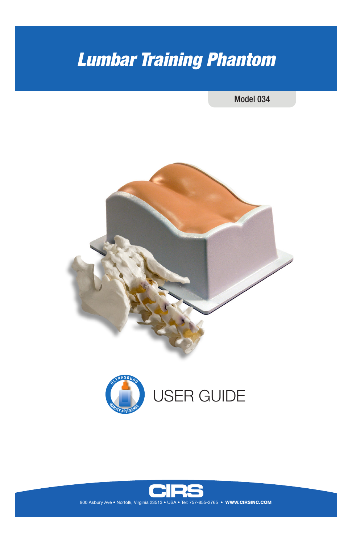# *Lumbar Training Phantom*

Model 034







900 Asbury Ave • Norfolk, Virginia 23513 • USA • Tel: 757-855-2765 • WWW.CIRSINC.COM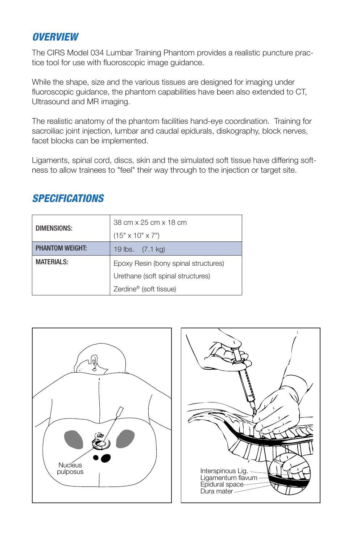#### *OVERVIEW*

The CIRS Model 034 Lumbar Training Phantom provides a realistic puncture practice tool for use with fluoroscopic image guidance.

While the shape, size and the various tissues are designed for imaging under fluoroscopic guidance, the phantom capabilities have been also extended to CT, Ultrasound and MR imaging.

The realistic anatomy of the phantom facilities hand-eye coordination. Training for sacroiliac joint injection, lumbar and caudal epidurals, diskography, block nerves, facet blocks can be implemented.

Ligaments, spinal cord, discs, skin and the simulated soft tissue have differing softness to allow trainees to "feel" their way through to the injection or target site.

| DIMENSIONS:            | 38 cm x 25 cm x 18 cm<br>$(15" \times 10" \times 7")$ |  |
|------------------------|-------------------------------------------------------|--|
| <b>PHANTOM WEIGHT:</b> | 19 lbs. $(7.1 \text{ kg})$                            |  |
| <b>MATERIALS:</b>      | Epoxy Resin (bony spinal structures)                  |  |
|                        | Urethane (soft spinal structures)                     |  |
|                        | Zerdine <sup>®</sup> (soft tissue)                    |  |

## *SPECIFICATIONS*



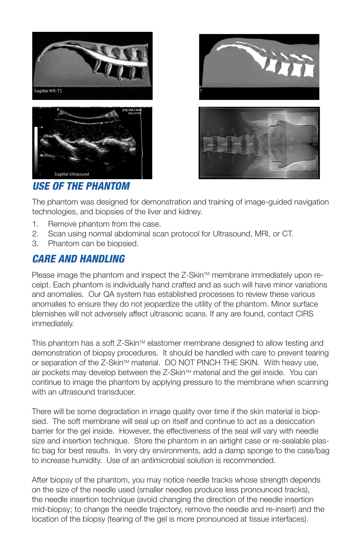



*USE OF THE PHANTOM*

The phantom was designed for demonstration and training of image-guided navigation technologies, and biopsies of the liver and kidney.

- 1. Remove phantom from the case.
- 2. Scan using normal abdominal scan protocol for Ultrasound, MRI, or CT.
- 3. Phantom can be biopsied.

## *CARE AND HANDLING*

Please image the phantom and inspect the Z-Skin™ membrane immediately upon receipt. Each phantom is individually hand crafted and as such will have minor variations and anomalies. Our QA system has established processes to review these various anomalies to ensure they do not jeopardize the utility of the phantom. Minor surface blemishes will not adversely affect ultrasonic scans. If any are found, contact CIRS immediately.

This phantom has a soft  $Z$ -Skin $M$  elastomer membrane designed to allow testing and demonstration of biopsy procedures. It should be handled with care to prevent tearing or separation of the Z-Skin™ material. DO NOT PINCH THE SKIN. With heavy use, air pockets may develop between the Z-Skin™ material and the gel inside. You can continue to image the phantom by applying pressure to the membrane when scanning with an ultrasound transducer

There will be some degradation in image quality over time if the skin material is biopsied. The soft membrane will seal up on itself and continue to act as a desiccation barrier for the gel inside. However, the effectiveness of the seal will vary with needle size and insertion technique. Store the phantom in an airtight case or re-sealable plastic bag for best results. In very dry environments, add a damp sponge to the case/bag to increase humidity. Use of an antimicrobial solution is recommended.

After biopsy of the phantom, you may notice needle tracks whose strength depends on the size of the needle used (smaller needles produce less pronounced tracks), the needle insertion technique (avoid changing the direction of the needle insertion mid-biopsy; to change the needle trajectory, remove the needle and re-insert) and the location of the biopsy (tearing of the gel is more pronounced at tissue interfaces).